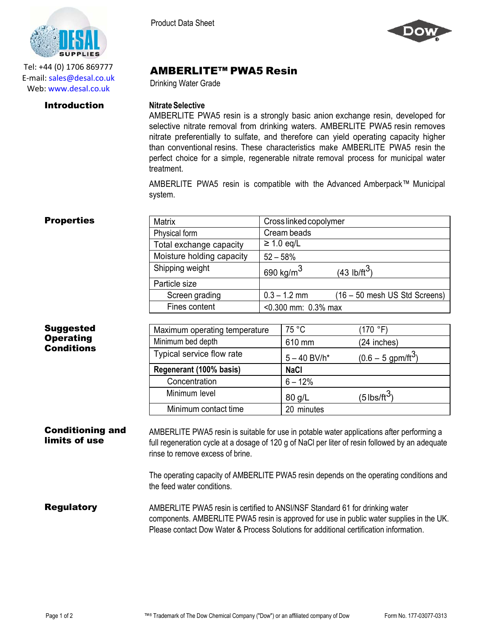

Tel: +44 (0) 1706 869777 E‐mail: sales@desal.co.uk Web: www.desal.co.uk

Product Data Sheet



# AMBERLITE™ PWA5 Resin

Drinking Water Grade

## **Introduction Nitrate Selective**

AMBERLITE PWA5 resin is a strongly basic anion exchange resin, developed for selective nitrate removal from drinking waters. AMBERLITE PWA5 resin removes nitrate preferentially to sulfate, and therefore can yield operating capacity higher than conventional resins. These characteristics make AMBERLITE PWA5 resin the perfect choice for a simple, regenerable nitrate removal process for municipal water treatment.

AMBERLITE PWA5 resin is compatible with the Advanced Amberpack™ Municipal system.

| <b>Properties</b>                                         | <b>Matrix</b>                 |                        | Cross linked copolymer     |                                  |
|-----------------------------------------------------------|-------------------------------|------------------------|----------------------------|----------------------------------|
|                                                           | Physical form                 | Cream beads            |                            |                                  |
|                                                           | Total exchange capacity       |                        | $\geq$ 1.0 eg/L            |                                  |
|                                                           | Moisture holding capacity     | $52 - 58%$             |                            |                                  |
|                                                           | Shipping weight               |                        | $690$ kg/m <sup>3</sup>    | (43 lb/ft <sup>3</sup> )         |
|                                                           | Particle size                 |                        |                            |                                  |
|                                                           | Screen grading                |                        | $0.3 - 1.2$ mm             | $(16 - 50$ mesh US Std Screens)  |
|                                                           | Fines content                 | $< 0.300$ mm: 0.3% max |                            |                                  |
| <b>Suggested</b><br><b>Operating</b><br><b>Conditions</b> |                               |                        |                            |                                  |
|                                                           | Maximum operating temperature |                        | 75 °C                      | (170 °F)                         |
|                                                           | Minimum bed depth             |                        | 610 mm                     | (24 inches)                      |
|                                                           | Typical service flow rate     |                        | $5 - 40$ BV/h <sup>*</sup> | $(0.6 - 5$ gpm/ft <sup>3</sup> ) |
|                                                           | Regenerant (100% basis)       |                        | <b>NaCl</b>                |                                  |
|                                                           | Concentration                 |                        | $6 - 12%$                  |                                  |

### Conditioning and limits of use AMBERLITE PWA5 resin is suitable for use in potable water applications after performing a full regeneration cycle at a dosage of 120 g of NaCl per liter of resin followed by an adequate rinse to remove excess of brine.

Minimum contact time 20 minutes

Minimum level  $|80 g/L$  (5 lbs/ft<sup>3</sup>)

The operating capacity of AMBERLITE PWA5 resin depends on the operating conditions and the feed water conditions.

**Regulatory** AMBERLITE PWA5 resin is certified to ANSI/NSF Standard 61 for drinking water components. AMBERLITE PWA5 resin is approved for use in public water supplies in the UK. Please contact Dow Water & Process Solutions for additional certification information.